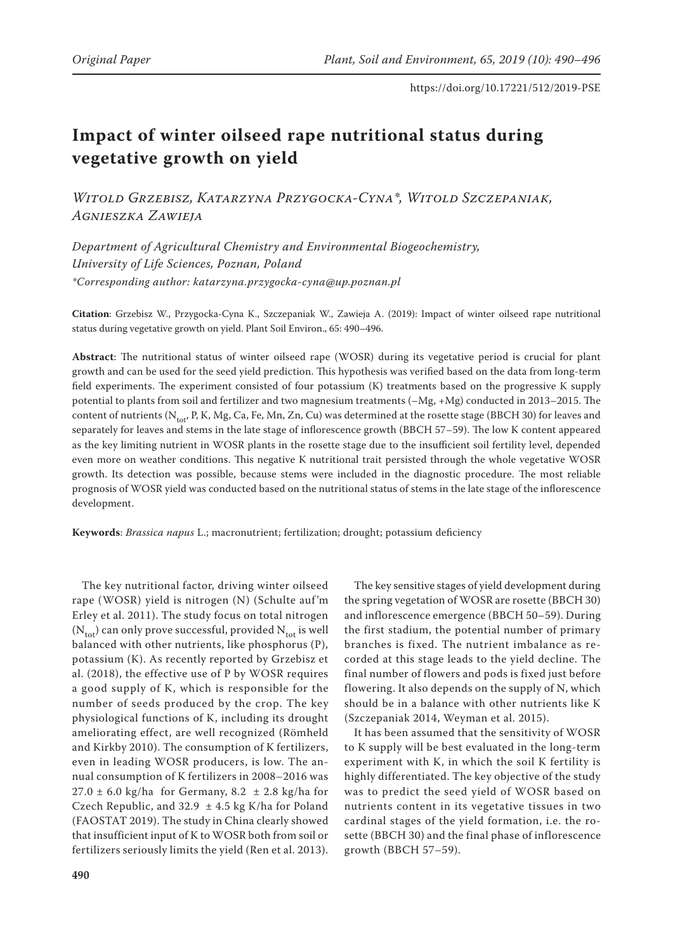# **Impact of winter oilseed rape nutritional status during vegetative growth on yield**

*Witold Grzebisz, Katarzyna Przygocka-Cyna\*, Witold Szczepaniak, Agnieszka Zawieja*

*Department of Agricultural Chemistry and Environmental Biogeochemistry, University of Life Sciences, Poznan, Poland \*Corresponding author: katarzyna.przygocka-cyna@up.poznan.pl*

**Citation**: Grzebisz W., Przygocka-Cyna K., Szczepaniak W., Zawieja A. (2019): Impact of winter oilseed rape nutritional status during vegetative growth on yield. Plant Soil Environ., 65: 490–496.

**Abstract**: The nutritional status of winter oilseed rape (WOSR) during its vegetative period is crucial for plant growth and can be used for the seed yield prediction. This hypothesis was verified based on the data from long-term field experiments. The experiment consisted of four potassium (K) treatments based on the progressive K supply potential to plants from soil and fertilizer and two magnesium treatments (–Mg, +Mg) conducted in 2013–2015. The content of nutrients (N<sub>tot</sub>, P, K, Mg, Ca, Fe, Mn, Zn, Cu) was determined at the rosette stage (BBCH 30) for leaves and separately for leaves and stems in the late stage of inflorescence growth (BBCH 57–59). The low K content appeared as the key limiting nutrient in WOSR plants in the rosette stage due to the insufficient soil fertility level, depended even more on weather conditions. This negative K nutritional trait persisted through the whole vegetative WOSR growth. Its detection was possible, because stems were included in the diagnostic procedure. The most reliable prognosis of WOSR yield was conducted based on the nutritional status of stems in the late stage of the inflorescence development.

**Keywords**: *Brassica napus* L.; macronutrient; fertilization; drought; potassium deficiency

The key nutritional factor, driving winter oilseed rape (WOSR) yield is nitrogen (N) (Schulte auf'm Erley et al. 2011). The study focus on total nitrogen  $(N_{tot})$  can only prove successful, provided  $N_{tot}$  is well balanced with other nutrients, like phosphorus (P), potassium (K). As recently reported by Grzebisz et al. (2018), the effective use of P by WOSR requires a good supply of K, which is responsible for the number of seeds produced by the crop. The key physiological functions of K, including its drought ameliorating effect, are well recognized (Römheld and Kirkby 2010). The consumption of K fertilizers, even in leading WOSR producers, is low. The annual consumption of K fertilizers in 2008–2016 was  $27.0 \pm 6.0$  kg/ha for Germany,  $8.2 \pm 2.8$  kg/ha for Czech Republic, and 32.9  $\pm$  4.5 kg K/ha for Poland (FAOSTAT 2019). The study in China clearly showed that insufficient input of K to WOSR both from soil or fertilizers seriously limits the yield (Ren et al. 2013).

The key sensitive stages of yield development during the spring vegetation of WOSR are rosette (BBCH 30) and inflorescence emergence (BBCH 50–59). During the first stadium, the potential number of primary branches is fixed. The nutrient imbalance as recorded at this stage leads to the yield decline. The final number of flowers and pods is fixed just before flowering. It also depends on the supply of N, which should be in a balance with other nutrients like K (Szczepaniak 2014, Weyman et al. 2015).

It has been assumed that the sensitivity of WOSR to K supply will be best evaluated in the long-term experiment with K, in which the soil K fertility is highly differentiated. The key objective of the study was to predict the seed yield of WOSR based on nutrients content in its vegetative tissues in two cardinal stages of the yield formation, i.e. the rosette (BBCH 30) and the final phase of inflorescence growth (BBCH 57–59).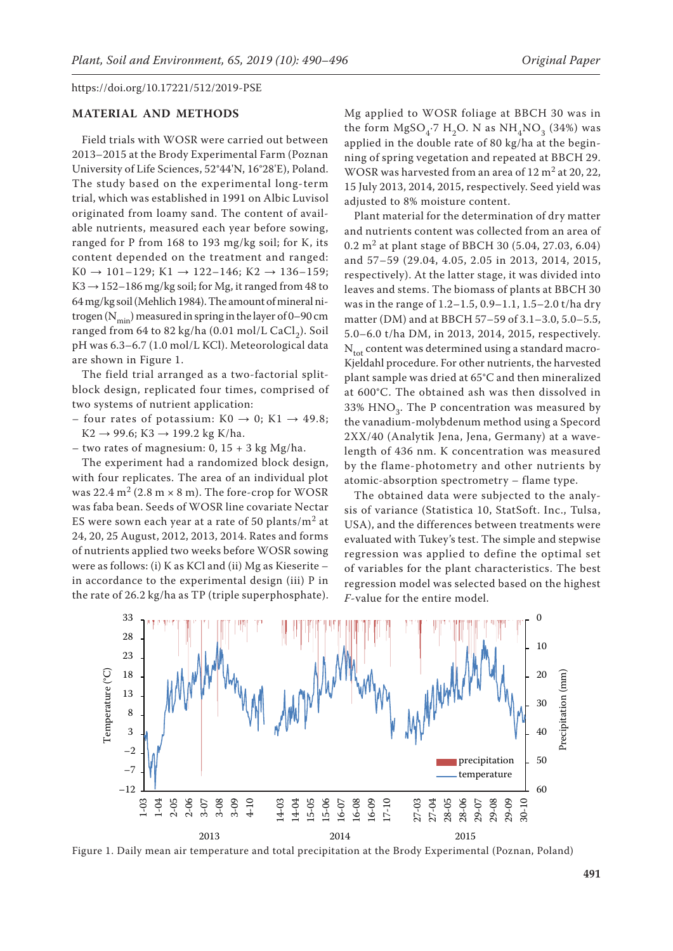## **MATERIAL AND METHODS**

Field trials with WOSR were carried out between 2013–2015 at the Brody Experimental Farm (Poznan University of Life Sciences, 52°44'N, 16°28'E), Poland. The study based on the experimental long-term trial, which was established in 1991 on Albic Luvisol originated from loamy sand. The content of available nutrients, measured each year before sowing, ranged for P from 168 to 193 mg/kg soil; for K, its content depended on the treatment and ranged:  $K0 \rightarrow 101-129$ ;  $K1 \rightarrow 122-146$ ;  $K2 \rightarrow 136-159$ ;  $K3 \rightarrow 152-186$  mg/kg soil; for Mg, it ranged from 48 to 64 mg/kg soil (Mehlich 1984). The amount of mineral nitrogen ( $N_{\text{min}}$ ) measured in spring in the layer of 0–90 cm ranged from 64 to 82 kg/ha  $(0.01 \text{ mol/L CaCl}_2)$ . Soil pH was 6.3–6.7 (1.0 mol/L KCl). Meteorological data are shown in Figure 1.

The field trial arranged as a two-factorial splitblock design, replicated four times, comprised of two systems of nutrient application:

- four rates of potassium:  $K0 \rightarrow 0$ ;  $K1 \rightarrow 49.8$ ;  $K2 \rightarrow 99.6$ ;  $K3 \rightarrow 199.2$  kg K/ha.
- two rates of magnesium:  $0$ ,  $15 + 3$  kg Mg/ha.

The experiment had a randomized block design, with four replicates. The area of an individual plot was 22.4  $m^2$  (2.8 m  $\times$  8 m). The fore-crop for WOSR was faba bean. Seeds of WOSR line covariate Nectar ES were sown each year at a rate of 50 plants/ $m<sup>2</sup>$  at 24, 20, 25 August, 2012, 2013, 2014. Rates and forms of nutrients applied two weeks before WOSR sowing were as follows: (i) K as KCl and (ii) Mg as Kieserite – in accordance to the experimental design (iii) P in the rate of 26.2 kg/ha as TP (triple superphosphate).

Mg applied to WOSR foliage at BBCH 30 was in the form  $MgSO<sub>4</sub>$ <sup>-7</sup> H<sub>2</sub>O. N as NH<sub>4</sub>NO<sub>3</sub> (34%) was applied in the double rate of 80 kg/ha at the beginning of spring vegetation and repeated at BBCH 29. WOSR was harvested from an area of  $12 \text{ m}^2$  at  $20$ ,  $22$ , 15 July 2013, 2014, 2015, respectively. Seed yield was adjusted to 8% moisture content.

Plant material for the determination of dry matter and nutrients content was collected from an area of 0.2 m2 at plant stage of BBCH 30 (5.04, 27.03, 6.04) and 57–59 (29.04, 4.05, 2.05 in 2013, 2014, 2015, respectively). At the latter stage, it was divided into leaves and stems. The biomass of plants at BBCH 30 was in the range of 1.2–1.5, 0.9–1.1, 1.5–2.0 t/ha dry matter (DM) and at BBCH 57–59 of 3.1–3.0, 5.0–5.5, 5.0–6.0 t/ha DM, in 2013, 2014, 2015, respectively.  $N_{\text{tot}}$  content was determined using a standard macro-Kjeldahl procedure. For other nutrients, the harvested plant sample was dried at 65°C and then mineralized at 600°C. The obtained ash was then dissolved in 33%  $HNO<sub>3</sub>$ . The P concentration was measured by the vanadium-molybdenum method using a Specord 2XX/40 (Analytik Jena, Jena, Germany) at a wavelength of 436 nm. K concentration was measured by the flame-photometry and other nutrients by atomic-absorption spectrometry – flame type.

The obtained data were subjected to the analysis of variance (Statistica 10, StatSoft. Inc., Tulsa, USA), and the differences between treatments were evaluated with Tukey's test. The simple and stepwise regression was applied to define the optimal set of variables for the plant characteristics. The best regression model was selected based on the highest *F*-value for the entire model.



Figure 1. Daily mean air temperature and total precipitation at the Brody Experimental (Poznan, Poland)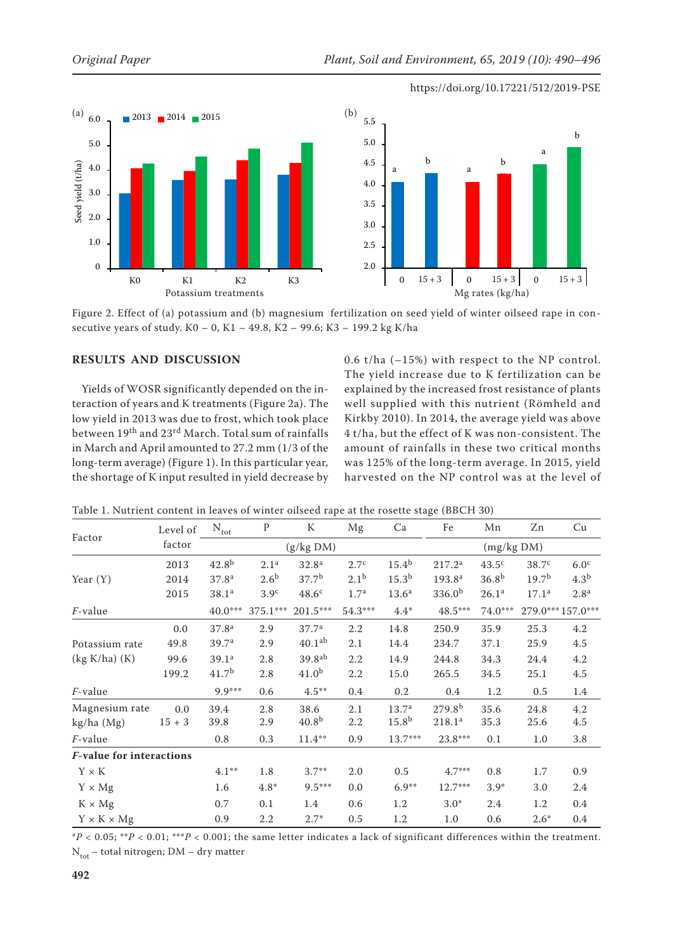





Figure 2. Effect of (a) potassium and (b) magnesium fertilization on seed yield of winter oilseed rape in consecutive years of study. K0 – 0, K1 – 49.8, K2 – 99.6; K3 – 199.2 kg K/ha

## **RESULTS AND DISCUSSION**

Yields of WOSR significantly depended on the interaction of years and K treatments (Figure 2a). The low yield in 2013 was due to frost, which took place between 19th and 23rd March. Total sum of rainfalls in March and April amounted to 27.2 mm (1/3 of the long-term average) (Figure 1). In this particular year, the shortage of K input resulted in yield decrease by 0.6 t/ha (–15%) with respect to the NP control. The yield increase due to K fertilization can be explained by the increased frost resistance of plants well supplied with this nutrient (Römheld and Kirkby 2010). In 2014, the average yield was above 4 t/ha, but the effect of K was non-consistent. The amount of rainfalls in these two critical months was 125% of the long-term average. In 2015, yield harvested on the NP control was at the level of

|                          | Level of | $N_{\text{tot}}$  | ${\bf P}$        | ${\bf K}$          | Mg               | Ca                | Fe                 | Mn                | Zn                | Cu                |
|--------------------------|----------|-------------------|------------------|--------------------|------------------|-------------------|--------------------|-------------------|-------------------|-------------------|
| Factor                   | factor   |                   |                  | (g/kg DM)          |                  |                   |                    | (mg/kg DM)        |                   |                   |
|                          | 2013     | $42.8^{b}$        | 2.1 <sup>a</sup> | 32.8 <sup>a</sup>  | 2.7 <sup>c</sup> | $15.4^{b}$        | 217.2 <sup>a</sup> | $43.5^{\circ}$    | 38.7 <sup>c</sup> | 6.0 <sup>c</sup>  |
| Year $(Y)$               | 2014     | 37.8 <sup>a</sup> | 2.6 <sup>b</sup> | 37.7 <sup>b</sup>  | $2.1^{b}$        | $15.3^{b}$        | 193.8 <sup>a</sup> | 36.8 <sup>b</sup> | 19.7 <sup>b</sup> | 4.3 <sup>b</sup>  |
|                          | 2015     | 38.1 <sup>a</sup> | 3.9 <sup>c</sup> | 48.6 <sup>c</sup>  | 1.7 <sup>a</sup> | 13.6 <sup>a</sup> | 336.0 <sup>b</sup> | 26.1 <sup>a</sup> | 17.1 <sup>a</sup> | 2.8 <sup>a</sup>  |
| <i>F</i> -value          |          | 40.0***           | $375.1***$       | 201.5***           | 54.3***          | $4.4*$            | 48.5***            | $74.0***$         |                   | 279.0*** 157.0*** |
|                          | 0.0      | 37.8 <sup>a</sup> | 2.9              | 37.7 <sup>a</sup>  | 2.2              | 14.8              | 250.9              | 35.9              | 25.3              | 4.2               |
| Potassium rate           | 49.8     | 39.7 <sup>a</sup> | 2.9              | 40.1 <sup>ab</sup> | 2.1              | 14.4              | 234.7              | 37.1              | 25.9              | 4.5               |
| $(kg K/ha)$ $(K)$        | 99.6     | 39.1 <sup>a</sup> | 2.8              | 39.8 <sup>ab</sup> | 2.2              | 14.9              | 244.8              | 34.3              | 24.4              | 4.2               |
|                          | 199.2    | 41.7 <sup>b</sup> | 2.8              | 41.0 <sup>b</sup>  | $2.2\,$          | 15.0              | 265.5              | 34.5              | 25.1              | $4.5\,$           |
| $F$ -value               |          | $9.9***$          | 0.6              | $4.5***$           | 0.4              | 0.2               | 0.4                | 1.2               | 0.5               | 1.4               |
| Magnesium rate           | 0.0      | 39.4              | 2.8              | 38.6               | 2.1              | 13.7 <sup>a</sup> | 279.8 <sup>b</sup> | 35.6              | 24.8              | 4.2               |
| $kg/ha$ (Mg)             | $15 + 3$ | 39.8              | 2.9              | 40.8 <sup>b</sup>  | 2.2              | 15.8 <sup>b</sup> | 218.1 <sup>a</sup> | 35.3              | 25.6              | 4.5               |
| <i>F</i> -value          |          | 0.8               | 0.3              | $11.4***$          | 0.9              | 13.7***           | 23.8***            | 0.1               | 1.0               | 3.8               |
| F-value for interactions |          |                   |                  |                    |                  |                   |                    |                   |                   |                   |
| $Y \times K$             |          | $4.1***$          | 1.8              | $3.7**$            | 2.0              | 0.5               | $4.7***$           | 0.8               | 1.7               | 0.9               |
| $Y \times Mg$            |          | 1.6               | $4.8*$           | $9.5***$           | 0.0              | $6.9**$           | 12.7***            | $3.9*$            | 3.0               | 2.4               |
| $K \times Mg$            |          | $0.7\,$           | 0.1              | 1.4                | 0.6              | 1.2               | $3.0*$             | 2.4               | 1.2               | 0.4               |
| $Y \times K \times Mg$   |          | 0.9               | 2.2              | $2.7*$             | 0.5              | 1.2               | 1.0                | 0.6               | $2.6*$            | 0.4               |

Table 1. Nutrient content in leaves of winter oilseed rape at the rosette stage (BBCH 30)

 $*P < 0.05$ ;  $*^*P < 0.01$ ;  $*^*P < 0.001$ ; the same letter indicates a lack of significant differences within the treatment.  $N_{\text{tot}}$  – total nitrogen; DM – dry matter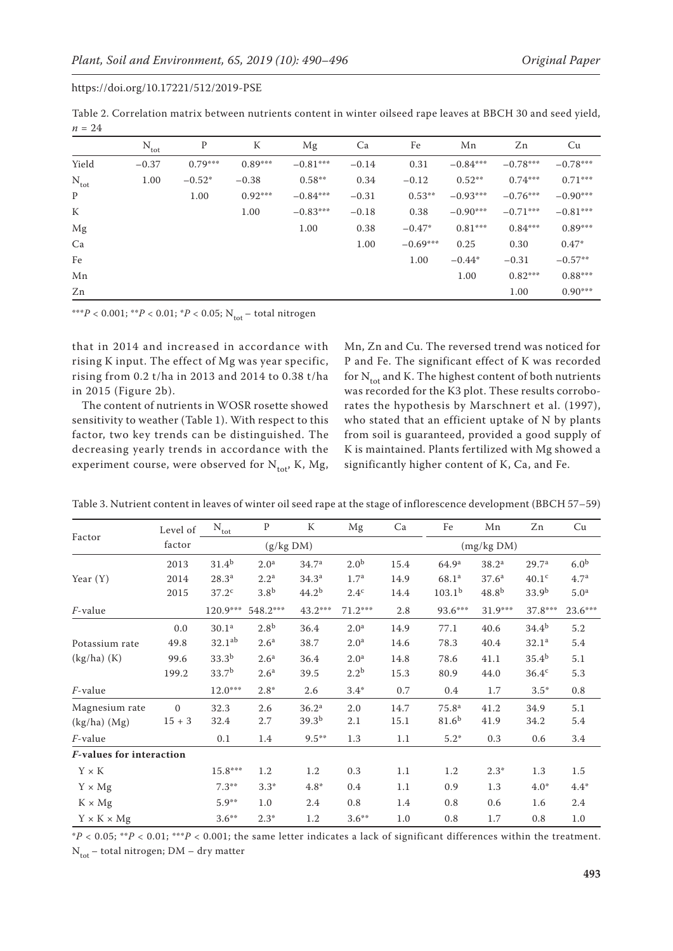Table 2. Correlation matrix between nutrients content in winter oilseed rape leaves at BBCH 30 and seed yield,  $n = 24$ 

|                  | $N_{\text{tot}}$ | P         | К         | Mg         | Ca      | Fe         | Mn         | Zn         | Cu         |
|------------------|------------------|-----------|-----------|------------|---------|------------|------------|------------|------------|
| Yield            | $-0.37$          | $0.79***$ | $0.89***$ | $-0.81***$ | $-0.14$ | 0.31       | $-0.84***$ | $-0.78***$ | $-0.78***$ |
| $N_{\text{tot}}$ | 1.00             | $-0.52*$  | $-0.38$   | $0.58***$  | 0.34    | $-0.12$    | $0.52**$   | $0.74***$  | $0.71***$  |
| P                |                  | 1.00      | $0.92***$ | $-0.84***$ | $-0.31$ | $0.53**$   | $-0.93***$ | $-0.76***$ | $-0.90***$ |
| K                |                  |           | 1.00      | $-0.83***$ | $-0.18$ | 0.38       | $-0.90***$ | $-0.71***$ | $-0.81***$ |
| Mg               |                  |           |           | 1.00       | 0.38    | $-0.47*$   | $0.81***$  | $0.84***$  | $0.89***$  |
| Ca               |                  |           |           |            | 1.00    | $-0.69***$ | 0.25       | 0.30       | $0.47*$    |
| Fe               |                  |           |           |            |         | 1.00       | $-0.44*$   | $-0.31$    | $-0.57**$  |
| Mn               |                  |           |           |            |         |            | 1.00       | $0.82***$  | $0.88***$  |
| Zn               |                  |           |           |            |         |            |            | 1.00       | $0.90***$  |

\*\*\**P* < 0.001; \*\**P* < 0.01; \**P* < 0.05; N<sub>tot</sub> – total nitrogen

that in 2014 and increased in accordance with rising K input. The effect of Mg was year specific, rising from 0.2 t/ha in 2013 and 2014 to 0.38 t/ha in 2015 (Figure 2b).

The content of nutrients in WOSR rosette showed sensitivity to weather (Table 1). With respect to this factor, two key trends can be distinguished. The decreasing yearly trends in accordance with the experiment course, were observed for  $N_{tot}$ , K, Mg, Mn, Zn and Cu. The reversed trend was noticed for P and Fe. The significant effect of K was recorded for  $N_{tot}$  and K. The highest content of both nutrients was recorded for the K3 plot. These results corroborates the hypothesis by Marschnert et al. (1997), who stated that an efficient uptake of N by plants from soil is guaranteed, provided a good supply of K is maintained. Plants fertilized with Mg showed a significantly higher content of K, Ca, and Fe.

| Table 3. Nutrient content in leaves of winter oil seed rape at the stage of inflorescence development (BBCH 57–59) |  |  |
|--------------------------------------------------------------------------------------------------------------------|--|--|
|--------------------------------------------------------------------------------------------------------------------|--|--|

|                                 | Level of | $\rm N_{tot}$     | $\mathbf{P}$     | K                 | Mg               | Ca   | Fe                 | Mn                | Zn                | Cu               |
|---------------------------------|----------|-------------------|------------------|-------------------|------------------|------|--------------------|-------------------|-------------------|------------------|
| Factor                          | factor   |                   | (g/kg DM)        |                   |                  |      |                    | (mg/kg DM)        |                   |                  |
|                                 | 2013     | $31.4^{b}$        | 2.0 <sup>a</sup> | 34.7 <sup>a</sup> | 2.0 <sup>b</sup> | 15.4 | 64.9 <sup>a</sup>  | 38.2 <sup>a</sup> | 29.7 <sup>a</sup> | 6.0 <sup>b</sup> |
| Year $(Y)$                      | 2014     | $28.3^{a}$        | 2.2 <sup>a</sup> | 34.3 <sup>a</sup> | 1.7 <sup>a</sup> | 14.9 | 68.1 <sup>a</sup>  | 37.6 <sup>a</sup> | 40.1 <sup>c</sup> | 4.7 <sup>a</sup> |
|                                 | 2015     | 37.2 <sup>c</sup> | 3.8 <sup>b</sup> | 44.2 <sup>b</sup> | $2.4^{\circ}$    | 14.4 | 103.1 <sup>b</sup> | $48.8^{b}$        | 33.9 <sup>b</sup> | 5.0 <sup>a</sup> |
| <i>F</i> -value                 |          | 120.9***          | 548.2***         | 43.2***           | $71.2***$        | 2.8  | 93.6***            | $31.9***$         | 37.8***           | 23.6***          |
|                                 | 0.0      | 30.1 <sup>a</sup> | 2.8 <sup>b</sup> | 36.4              | 2.0 <sup>a</sup> | 14.9 | 77.1               | 40.6              | $34.4^{b}$        | 5.2              |
| Potassium rate                  | 49.8     | $32.1^{ab}$       | 2.6 <sup>a</sup> | 38.7              | 2.0 <sup>a</sup> | 14.6 | 78.3               | 40.4              | 32.1 <sup>a</sup> | 5.4              |
| $(kg/ha)$ $(K)$                 | 99.6     | $33.3^{b}$        | 2.6 <sup>a</sup> | 36.4              | 2.0 <sup>a</sup> | 14.8 | 78.6               | 41.1              | $35.4^{b}$        | 5.1              |
|                                 | 199.2    | 33.7 <sup>b</sup> | 2.6 <sup>a</sup> | 39.5              | $2.2^{b}$        | 15.3 | 80.9               | 44.0              | 36.4 <sup>c</sup> | 5.3              |
| <i>F</i> -value                 |          | $12.0***$         | $2.8*$           | 2.6               | $3.4*$           | 0.7  | 0.4                | 1.7               | $3.5*$            | $0.8\,$          |
| Magnesium rate                  | $\Omega$ | 32.3              | 2.6              | 36.2 <sup>a</sup> | 2.0              | 14.7 | 75.8 <sup>a</sup>  | 41.2              | 34.9              | 5.1              |
| $(kg/ha)$ $(Mg)$                | $15 + 3$ | 32.4              | 2.7              | 39.3 <sup>b</sup> | 2.1              | 15.1 | 81.6 <sup>b</sup>  | 41.9              | 34.2              | 5.4              |
| F-value                         |          | 0.1               | 1.4              | $9.5***$          | 1.3              | 1.1  | $5.2*$             | 0.3               | 0.6               | 3.4              |
| <b>F-values for interaction</b> |          |                   |                  |                   |                  |      |                    |                   |                   |                  |
| $\mathbf{Y}\times\mathbf{K}$    |          | 15.8***           | 1.2              | 1.2               | 0.3              | 1.1  | 1.2                | $2.3*$            | 1.3               | 1.5              |
| $Y \times Mg$                   |          | $7.3**$           | $3.3*$           | $4.8*$            | 0.4              | 1.1  | 0.9                | 1.3               | $4.0*$            | $4.4*$           |
| $K \times Mg$                   |          | $5.9**$           | 1.0              | 2.4               | 0.8              | 1.4  | 0.8                | 0.6               | 1.6               | 2.4              |
| $Y \times K \times Mg$          |          | $3.6***$          | $2.3*$           | 1.2               | $3.6***$         | 1.0  | 0.8                | 1.7               | 0.8               | $1.0\,$          |

\**P* < 0.05; \*\**P* < 0.01; \*\*\**P* < 0.001; the same letter indicates a lack of significant differences within the treatment.  $N_{\text{tot}}$  – total nitrogen; DM – dry matter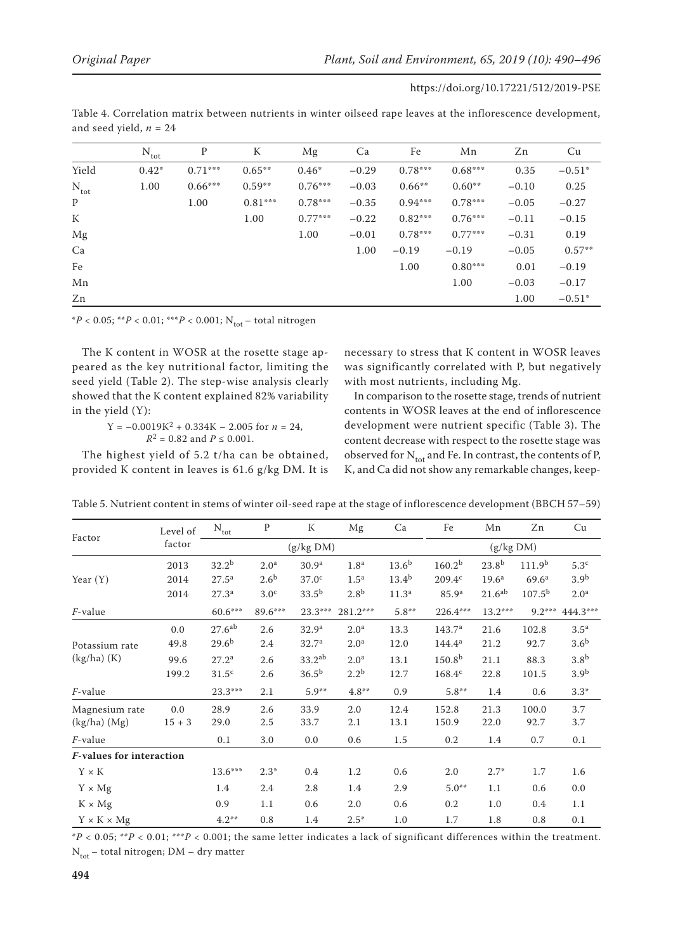L

| and seed yield, $n=24$ |                  |           |           |           |         |           |           |         |          |  |
|------------------------|------------------|-----------|-----------|-----------|---------|-----------|-----------|---------|----------|--|
|                        | $N_{\text{tot}}$ | P         | K         | Mg        | Ca      | Fe        | Mn        | Zn      | Cu       |  |
| Yield                  | $0.42*$          | $0.71***$ | $0.65***$ | $0.46*$   | $-0.29$ | $0.78***$ | $0.68***$ | 0.35    | $-0.51*$ |  |
| $N_{\text{tot}}$       | 1.00             | $0.66***$ | $0.59**$  | $0.76***$ | $-0.03$ | $0.66***$ | $0.60**$  | $-0.10$ | 0.25     |  |
| P                      |                  | 1.00      | $0.81***$ | $0.78***$ | $-0.35$ | $0.94***$ | $0.78***$ | $-0.05$ | $-0.27$  |  |
| K                      |                  |           | 1.00      | $0.77***$ | $-0.22$ | $0.82***$ | $0.76***$ | $-0.11$ | $-0.15$  |  |
| Mg                     |                  |           |           | 1.00      | $-0.01$ | $0.78***$ | $0.77***$ | $-0.31$ | 0.19     |  |
| Ca                     |                  |           |           |           | 1.00    | $-0.19$   | $-0.19$   | $-0.05$ | $0.57**$ |  |
| Fe                     |                  |           |           |           |         | 1.00      | $0.80***$ | 0.01    | $-0.19$  |  |
| Mn                     |                  |           |           |           |         |           | 1.00      | $-0.03$ | $-0.17$  |  |
| Zn                     |                  |           |           |           |         |           |           | 1.00    | $-0.51*$ |  |

Table 4. Correlation matrix between nutrients in winter oilseed rape leaves at the inflorescence development,

 $*P < 0.05$ ;  $*P < 0.01$ ;  $**P < 0.001$ ; N<sub>tot</sub> – total nitrogen

The K content in WOSR at the rosette stage appeared as the key nutritional factor, limiting the seed yield (Table 2). The step-wise analysis clearly showed that the K content explained 82% variability in the yield (Y):

$$
Y = -0.0019K^2 + 0.334K - 2.005 \text{ for } n = 24,
$$
  

$$
R^2 = 0.82 \text{ and } P \le 0.001.
$$

The highest yield of 5.2 t/ha can be obtained, provided K content in leaves is 61.6 g/kg DM. It is necessary to stress that K content in WOSR leaves was significantly correlated with P, but negatively with most nutrients, including Mg.

In comparison to the rosette stage, trends of nutrient contents in WOSR leaves at the end of inflorescence development were nutrient specific (Table 3). The content decrease with respect to the rosette stage was observed for  $N_{tot}$  and Fe. In contrast, the contents of P, K, and Ca did not show any remarkable changes, keep-

| Factor                          | Level of | $N_{\text{tot}}$   | $\mathbf{P}$     | K                  | Mg               | Ca                | Fe                 | Mn                 | Zn                 | Cu               |
|---------------------------------|----------|--------------------|------------------|--------------------|------------------|-------------------|--------------------|--------------------|--------------------|------------------|
|                                 | factor   |                    |                  | (g/kg DM)          |                  |                   |                    | (g/kg DM)          |                    |                  |
|                                 | 2013     | $32.2^{b}$         | 2.0 <sup>a</sup> | 30.9 <sup>a</sup>  | 1.8 <sup>a</sup> | $13.6^{b}$        | 160.2 <sup>b</sup> | $23.8^{b}$         | 111.9 <sup>b</sup> | 5.3 <sup>c</sup> |
| Year $(Y)$                      | 2014     | $27.5^{\rm a}$     | 2.6 <sup>b</sup> | 37.0 <sup>c</sup>  | 1.5 <sup>a</sup> | $13.4^{b}$        | 209.4c             | 19.6 <sup>a</sup>  | 69.6 <sup>a</sup>  | 3.9 <sup>b</sup> |
|                                 | 2014     | 27.3 <sup>a</sup>  | 3.0 <sup>c</sup> | $33.5^{b}$         | 2.8 <sup>b</sup> | 11.3 <sup>a</sup> | 85.9 <sup>a</sup>  | 21.6 <sup>ab</sup> | 107.5 <sup>b</sup> | 2.0 <sup>a</sup> |
| <i>F</i> -value                 |          | $60.6***$          | 89.6***          | $23.3***$          | 281.2***         | $5.8**$           | $226.4***$         | 13.2***            | $9.2***$           | 444.3***         |
|                                 | 0.0      | 27.6 <sup>ab</sup> | 2.6              | 32.9 <sup>a</sup>  | 2.0 <sup>a</sup> | 13.3              | 143.7 <sup>a</sup> | 21.6               | 102.8              | 3.5 <sup>a</sup> |
| Potassium rate                  | 49.8     | $29.6^{b}$         | 2.4              | 32.7 <sup>a</sup>  | 2.0 <sup>a</sup> | 12.0              | $144.4^a$          | 21.2               | 92.7               | 3.6 <sup>b</sup> |
| $(kg/ha)$ $(K)$                 | 99.6     | 27.2 <sup>a</sup>  | 2.6              | 33.2 <sup>ab</sup> | 2.0 <sup>a</sup> | 13.1              | 150.8 <sup>b</sup> | 21.1               | 88.3               | 3.8 <sup>b</sup> |
|                                 | 199.2    | $31.5^{\circ}$     | 2.6              | $36.5^{b}$         | $2.2^{b}$        | 12.7              | $168.4^c$          | 22.8               | 101.5              | 3.9 <sup>b</sup> |
| <i>F</i> -value                 |          | $23.3***$          | 2.1              | $5.9**$            | $4.8***$         | 0.9               | $5.8**$            | 1.4                | 0.6                | $3.3*$           |
| Magnesium rate                  | 0.0      | 28.9               | 2.6              | 33.9               | 2.0              | 12.4              | 152.8              | 21.3               | 100.0              | 3.7              |
| $(kg/ha)$ $(Mg)$                | $15 + 3$ | 29.0               | 2.5              | 33.7               | 2.1              | 13.1              | 150.9              | 22.0               | 92.7               | 3.7              |
| <i>F</i> -value                 |          | 0.1                | 3.0              | 0.0                | 0.6              | 1.5               | 0.2                | 1.4                | 0.7                | 0.1              |
| <b>F-values for interaction</b> |          |                    |                  |                    |                  |                   |                    |                    |                    |                  |
| $Y \times K$                    |          | $13.6***$          | $2.3*$           | 0.4                | 1.2              | 0.6               | 2.0                | $2.7*$             | 1.7                | 1.6              |
| $Y \times Mg$                   |          | 1.4                | 2.4              | 2.8                | 1.4              | 2.9               | $5.0**$            | 1.1                | 0.6                | 0.0              |
| $K \times Mg$                   |          | 0.9                | 1.1              | 0.6                | 2.0              | 0.6               | 0.2                | 1.0                | 0.4                | 1.1              |
| $Y \times K \times Mg$          |          | $4.2**$            | 0.8              | 1.4                | $2.5*$           | 1.0               | 1.7                | 1.8                | 0.8                | 0.1              |

Table 5. Nutrient content in stems of winter oil-seed rape at the stage of inflorescence development (BBCH 57–59)

\**P* < 0.05; \*\**P* < 0.01; \*\*\**P* < 0.001; the same letter indicates a lack of significant differences within the treatment.  $N_{\text{tot}}$  – total nitrogen; DM – dry matter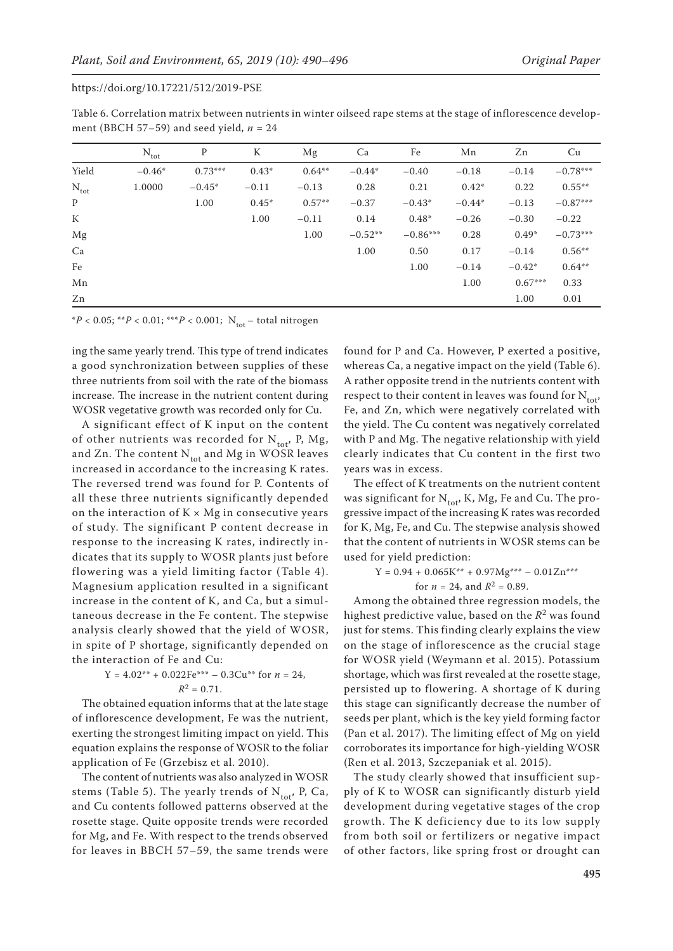| Table 6. Correlation matrix between nutrients in winter oilseed rape stems at the stage of inflorescence develop- |  |
|-------------------------------------------------------------------------------------------------------------------|--|
| ment (BBCH 57–59) and seed yield, $n = 24$                                                                        |  |

|                  | $N_{\text{tot}}$ | P         | К       | Mg        | Ca        | Fe         | Mn       | Zn        | Cu         |
|------------------|------------------|-----------|---------|-----------|-----------|------------|----------|-----------|------------|
| Yield            | $-0.46*$         | $0.73***$ | $0.43*$ | $0.64***$ | $-0.44*$  | $-0.40$    | $-0.18$  | $-0.14$   | $-0.78***$ |
| $N_{\text{tot}}$ | 1.0000           | $-0.45*$  | $-0.11$ | $-0.13$   | 0.28      | 0.21       | $0.42*$  | 0.22      | $0.55***$  |
| P                |                  | 1.00      | $0.45*$ | $0.57**$  | $-0.37$   | $-0.43*$   | $-0.44*$ | $-0.13$   | $-0.87***$ |
| K                |                  |           | 1.00    | $-0.11$   | 0.14      | $0.48*$    | $-0.26$  | $-0.30$   | $-0.22$    |
| Mg               |                  |           |         | 1.00      | $-0.52**$ | $-0.86***$ | 0.28     | $0.49*$   | $-0.73***$ |
| Ca               |                  |           |         |           | 1.00      | 0.50       | 0.17     | $-0.14$   | $0.56***$  |
| Fe               |                  |           |         |           |           | 1.00       | $-0.14$  | $-0.42*$  | $0.64***$  |
| Mn               |                  |           |         |           |           |            | 1.00     | $0.67***$ | 0.33       |
| Zn               |                  |           |         |           |           |            |          | 1.00      | 0.01       |

 $*P < 0.05$ ; \*\* $P < 0.01$ ; \*\*\* $P < 0.001$ ; N<sub>tot</sub> – total nitrogen

ing the same yearly trend. This type of trend indicates a good synchronization between supplies of these three nutrients from soil with the rate of the biomass increase. The increase in the nutrient content during WOSR vegetative growth was recorded only for Cu.

A significant effect of K input on the content of other nutrients was recorded for  $N_{tot}$ , P, Mg, and Zn. The content  $N_{tot}$  and Mg in WOSR leaves increased in accordance to the increasing K rates. The reversed trend was found for P. Contents of all these three nutrients significantly depended on the interaction of  $K \times Mg$  in consecutive years of study. The significant P content decrease in response to the increasing K rates, indirectly indicates that its supply to WOSR plants just before flowering was a yield limiting factor (Table 4). Magnesium application resulted in a significant increase in the content of K, and Ca, but a simultaneous decrease in the Fe content. The stepwise analysis clearly showed that the yield of WOSR, in spite of P shortage, significantly depended on the interaction of Fe and Cu:

$$
Y = 4.02^{**} + 0.022Fe^{***} - 0.3Cu^{**} \text{ for } n = 24,
$$
  

$$
R^2 = 0.71.
$$

The obtained equation informs that at the late stage of inflorescence development, Fe was the nutrient, exerting the strongest limiting impact on yield. This equation explains the response of WOSR to the foliar application of Fe (Grzebisz et al. 2010).

The content of nutrients was also analyzed in WOSR stems (Table 5). The yearly trends of  $N_{tot}$ , P, Ca, and Cu contents followed patterns observed at the rosette stage. Quite opposite trends were recorded for Mg, and Fe. With respect to the trends observed for leaves in BBCH 57–59, the same trends were found for P and Ca. However, P exerted a positive, whereas Ca, a negative impact on the yield (Table 6). A rather opposite trend in the nutrients content with respect to their content in leaves was found for  $N_{tot}$ , Fe, and Zn, which were negatively correlated with the yield. The Cu content was negatively correlated with P and Mg. The negative relationship with yield clearly indicates that Cu content in the first two years was in excess.

The effect of K treatments on the nutrient content was significant for  $N_{tot}$ , K, Mg, Fe and Cu. The progressive impact of the increasing K rates was recorded for K, Mg, Fe, and Cu. The stepwise analysis showed that the content of nutrients in WOSR stems can be used for yield prediction:

$$
Y = 0.94 + 0.065K^{**} + 0.97Mg^{***} - 0.01Zn^{***}
$$
  
for  $n = 24$ , and  $R^2 = 0.89$ .

Among the obtained three regression models, the highest predictive value, based on the *R*2 was found just for stems. This finding clearly explains the view on the stage of inflorescence as the crucial stage for WOSR yield (Weymann et al. 2015). Potassium shortage, which was first revealed at the rosette stage, persisted up to flowering. A shortage of K during this stage can significantly decrease the number of seeds per plant, which is the key yield forming factor (Pan et al. 2017). The limiting effect of Mg on yield corroborates its importance for high-yielding WOSR (Ren et al. 2013, Szczepaniak et al. 2015).

The study clearly showed that insufficient supply of K to WOSR can significantly disturb yield development during vegetative stages of the crop growth. The K deficiency due to its low supply from both soil or fertilizers or negative impact of other factors, like spring frost or drought can